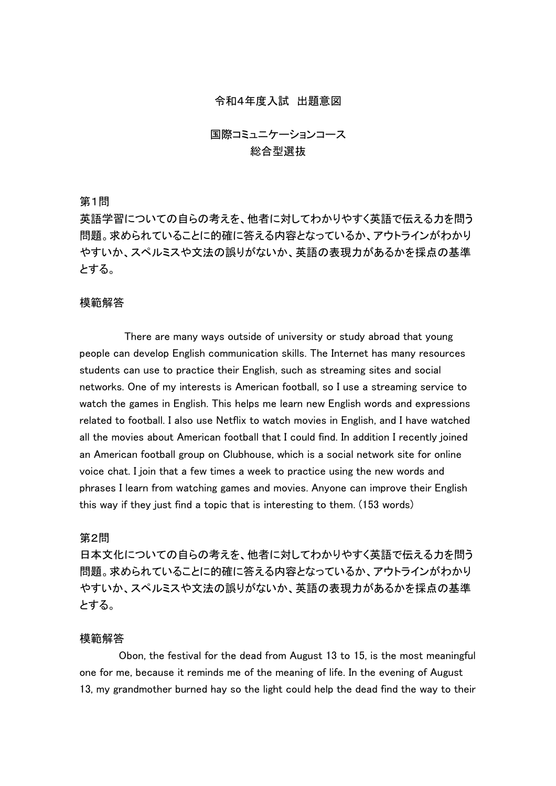## 令和4年度入試 出題意図

# 国際コミュニケーションコース 総合型選抜

## 第1問

英語学習についての自らの考えを、他者に対してわかりやすく英語で伝える力を問う 問題。求められていることに的確に答える内容となっているか、アウトラインがわかり やすいか、スペルミスや文法の誤りがないか、英語の表現力があるかを採点の基準 とする。

## 模範解答

There are many ways outside of university or study abroad that young people can develop English communication skills. The Internet has many resources students can use to practice their English, such as streaming sites and social networks. One of my interests is American football, so I use a streaming service to watch the games in English. This helps me learn new English words and expressions related to football. I also use Netflix to watch movies in English, and I have watched all the movies about American football that I could find. In addition I recently joined an American football group on Clubhouse, which is a social network site for online voice chat. I join that a few times a week to practice using the new words and phrases I learn from watching games and movies. Anyone can improve their English this way if they just find a topic that is interesting to them. (153 words)

## 第2問

日本文化についての自らの考えを、他者に対してわかりやすく英語で伝える力を問う 問題。求められていることに的確に答える内容となっているか、アウトラインがわかり やすいか、スペルミスや文法の誤りがないか、英語の表現力があるかを採点の基準 とする。

# 模範解答

Obon, the festival for the dead from August 13 to 15, is the most meaningful one for me, because it reminds me of the meaning of life. In the evening of August 13, my grandmother burned hay so the light could help the dead find the way to their